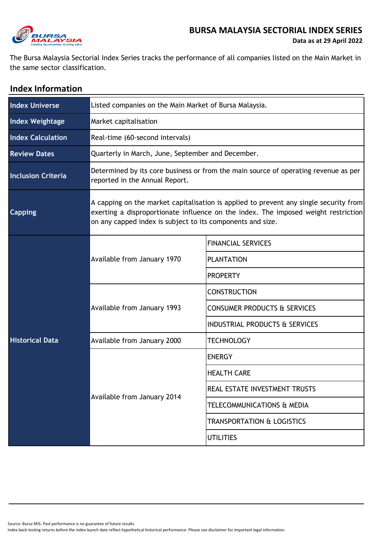

## **BURSA MALAYSIA SECTORIAL INDEX SERIES**

The Bursa Malaysia Sectorial Index Series tracks the performance of all companies listed on the Main Market in the same sector classification.

| <b>Index Information</b>  |                                                                                                                                                                                                                                           |                                           |  |  |
|---------------------------|-------------------------------------------------------------------------------------------------------------------------------------------------------------------------------------------------------------------------------------------|-------------------------------------------|--|--|
| <b>Index Universe</b>     | Listed companies on the Main Market of Bursa Malaysia.                                                                                                                                                                                    |                                           |  |  |
| <b>Index Weightage</b>    | Market capitalisation                                                                                                                                                                                                                     |                                           |  |  |
| <b>Index Calculation</b>  | Real-time (60-second intervals)                                                                                                                                                                                                           |                                           |  |  |
| <b>Review Dates</b>       | Quarterly in March, June, September and December.                                                                                                                                                                                         |                                           |  |  |
| <b>Inclusion Criteria</b> | Determined by its core business or from the main source of operating revenue as per<br>reported in the Annual Report.                                                                                                                     |                                           |  |  |
| <b>Capping</b>            | A capping on the market capitalisation is applied to prevent any single security from<br>exerting a disproportionate influence on the index. The imposed weight restriction<br>on any capped index is subject to its components and size. |                                           |  |  |
|                           | Available from January 1970                                                                                                                                                                                                               | <b>FINANCIAL SERVICES</b>                 |  |  |
| <b>Historical Data</b>    |                                                                                                                                                                                                                                           | <b>PLANTATION</b>                         |  |  |
|                           |                                                                                                                                                                                                                                           | <b>PROPERTY</b>                           |  |  |
|                           |                                                                                                                                                                                                                                           | <b>CONSTRUCTION</b>                       |  |  |
|                           | Available from January 1993                                                                                                                                                                                                               | <b>CONSUMER PRODUCTS &amp; SERVICES</b>   |  |  |
|                           |                                                                                                                                                                                                                                           | <b>INDUSTRIAL PRODUCTS &amp; SERVICES</b> |  |  |
|                           | Available from January 2000                                                                                                                                                                                                               | <b>TECHNOLOGY</b>                         |  |  |
|                           | Available from January 2014                                                                                                                                                                                                               | <b>ENERGY</b>                             |  |  |
|                           |                                                                                                                                                                                                                                           | <b>HEALTH CARE</b>                        |  |  |
|                           |                                                                                                                                                                                                                                           | REAL ESTATE INVESTMENT TRUSTS             |  |  |
|                           |                                                                                                                                                                                                                                           | TELECOMMUNICATIONS & MEDIA                |  |  |
|                           |                                                                                                                                                                                                                                           | <b>TRANSPORTATION &amp; LOGISTICS</b>     |  |  |
|                           |                                                                                                                                                                                                                                           | <b>UTILITIES</b>                          |  |  |

Source: Bursa MIS. Past performance is no guarantee of future results.

Index back-testing returns before the index launch date reflect hypothetical historical performance. Please see disclaimer for important legal information.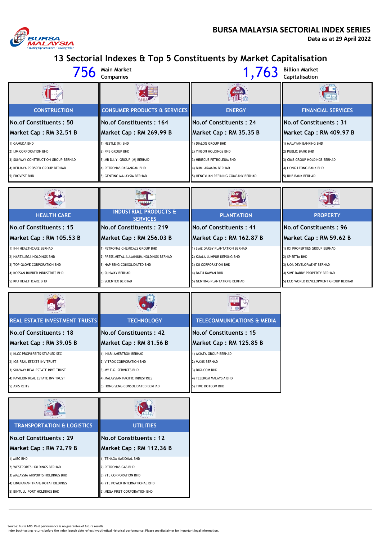

**Data as at 29 April 2022**

**13 Sectorial Indexes & Top 5 Constituents by Market Capitalisation**

|                                     | Main Market<br><b>Companies</b>         | 1,763                               | <b>Billion Market</b><br>Capitalisation |  |  |
|-------------------------------------|-----------------------------------------|-------------------------------------|-----------------------------------------|--|--|
|                                     |                                         |                                     |                                         |  |  |
| <b>CONSTRUCTION</b>                 | <b>CONSUMER PRODUCTS &amp; SERVICES</b> | <b>ENERGY</b>                       | <b>FINANCIAL SERVICES</b>               |  |  |
| No.of Constituents: 50              | No. of Constituents: 164                | No.of Constituents: 24              | <b>II No.of Constituents: 31</b>        |  |  |
| Market Cap: RM 32.51 B              | Market Cap: RM 269.99 B                 | Market Cap: RM 35.35 B              | Market Cap: RM 409.97 B                 |  |  |
| 1) GAMUDA BHD                       | 1) NESTLE (M) BHD                       | 1) DIALOG GROUP BHD                 | 1) MALAYAN BANKING BHD                  |  |  |
| 2) IJM CORPORATION BHD              | 2) PPB GROUP BHD                        | 2) YINSON HOLDINGS BHD              | 2) PUBLIC BANK BHD                      |  |  |
| 3) SUNWAY CONSTRUCTION GROUP BERHAD | 3) MR D.I.Y. GROUP (M) BERHAD           | 3) HIBISCUS PETROLEUM BHD           | 3) CIMB GROUP HOLDINGS BERHAD           |  |  |
| 4) KERJAYA PROSPEK GROUP BERHAD     | 4) PETRONAS DAGANGAN BHD                | 4) BUMI ARMADA BERHAD               | 4) HONG LEONG BANK BHD                  |  |  |
| 5) EKOVEST BHD                      | 5) GENTING MALAYSIA BERHAD              | 5) HENGYUAN REFINING COMPANY BERHAD | 5) RHB BANK BERHAD                      |  |  |
|                                     |                                         |                                     |                                         |  |  |

| <b>TANK AND REAL PROPERTY</b>   | George                                              |                                 |                                       |
|---------------------------------|-----------------------------------------------------|---------------------------------|---------------------------------------|
| <b>HEALTH CARE</b>              | <b>INDUSTRIAL PRODUCTS &amp;</b><br><b>SERVICES</b> | <b>PLANTATION</b>               | <b>PROPERTY</b>                       |
| <b>No.of Constituents: 15</b>   | <b>IINo.of Constituents: 219</b>                    | <b>IINo.of Constituents: 41</b> | <b>INo.of Constituents: 96</b>        |
| Market Cap: RM 105.53 B         | Market Cap: RM 256.03 B                             | Market Cap: RM 162.87 B         | Market Cap: RM 59.62 B                |
| 1) IHH HEALTHCARE BERHAD        | PETRONAS CHEMICALS GROUP BHD                        | 1) SIME DARBY PLANTATION BERHAD | 1) IOI PROPERTIES GROUP BERHAD        |
| 2) HARTALEGA HOLDINGS BHD       | 2) PRESS METAL ALUMINIUM HOLDINGS BERHAD            | 2) KUALA LUMPUR KEPONG BHD      | 2) SP SETIA BHD                       |
| 3) TOP GLOVE CORPORATION BHD    | 3) HAP SENG CONSOLIDATED BHD                        | 3) IOI CORPORATION BHD          | 3) UOA DEVELOPMENT BERHAD             |
| 4) KOSSAN RUBBER INDUSTRIES BHD | <b>4) SUNWAY BERHAD</b>                             | 4) BATU KAWAN BHD               | 4) SIME DARBY PROPERTY BERHAD         |
| 5) KPJ HEALTHCARE BHD           | 5) SCIENTEX BERHAD                                  | 5) GENTING PLANTATIONS BERHAD   | 5) ECO WORLD DEVELOPMENT GROUP BERHAD |

| <b>RENT</b>                          |                                  |                                       |  |  |
|--------------------------------------|----------------------------------|---------------------------------------|--|--|
| <b>REAL ESTATE INVESTMENT TRUSTS</b> | <b>TECHNOLOGY</b>                | <b>TELECOMMUNICATIONS &amp; MEDIA</b> |  |  |
| <b>No.of Constituents: 18</b>        | <b>No.of Constituents: 42</b>    | No.of Constituents: 15                |  |  |
| Market Cap: RM 39.05 B               | Market Cap: RM 81.56 B           | Market Cap: RM 125.85 B               |  |  |
| 1) KLCC PROP&REITS-STAPLED SEC       | 1) INARI AMERTRON BERHAD         | 1) AXIATA GROUP BERHAD                |  |  |
| 2) IGB REAL ESTATE INV TRUST         | 2) VITROX CORPORATION BHD        | 2) MAXIS BERHAD                       |  |  |
| 3) SUNWAY REAL ESTATE INVT TRUST     | 3) MY E.G. SERVICES BHD          | 3) DIGI.COM BHD                       |  |  |
| 4) PAVILION REAL ESTATE INV TRUST    | 4) MALAYSIAN PACIFIC INDUSTRIES  | 4) TELEKOM MALAYSIA BHD               |  |  |
| 5) AXIS REITS                        | 5) HONG SENG CONSOLIDATED BERHAD | 5) TIME DOTCOM BHD                    |  |  |

| <b>TRANSPORTATION &amp; LOGISTICS</b> | <b>UTILITIES</b>               |  |  |
|---------------------------------------|--------------------------------|--|--|
| No.of Constituents: 29                | No. of Constituents: 12        |  |  |
| Market Cap: RM 72.79 B                | Market Cap: RM 112.36 B        |  |  |
| 1) MISC BHD                           | 1) TENAGA NASIONAL BHD         |  |  |
| 2) WESTPORTS HOLDINGS BERHAD          | 2) PETRONAS GAS BHD            |  |  |
| 3) MALAYSIA AIRPORTS HOLDINGS BHD     | 3) YTL CORPORATION BHD         |  |  |
| 4) LINGKARAN TRANS KOTA HOLDINGS      | 4) YTL POWER INTERNATIONAL BHD |  |  |
| 5) BINTULU PORT HOLDINGS BHD          | 5) MEGA FIRST CORPORATION BHD  |  |  |

Source: Bursa MIS. Past performance is no guarantee of future results.<br>Index back-testing returns before the index launch date reflect hypothetical historical performance. Please see disclaimer for important legal informat